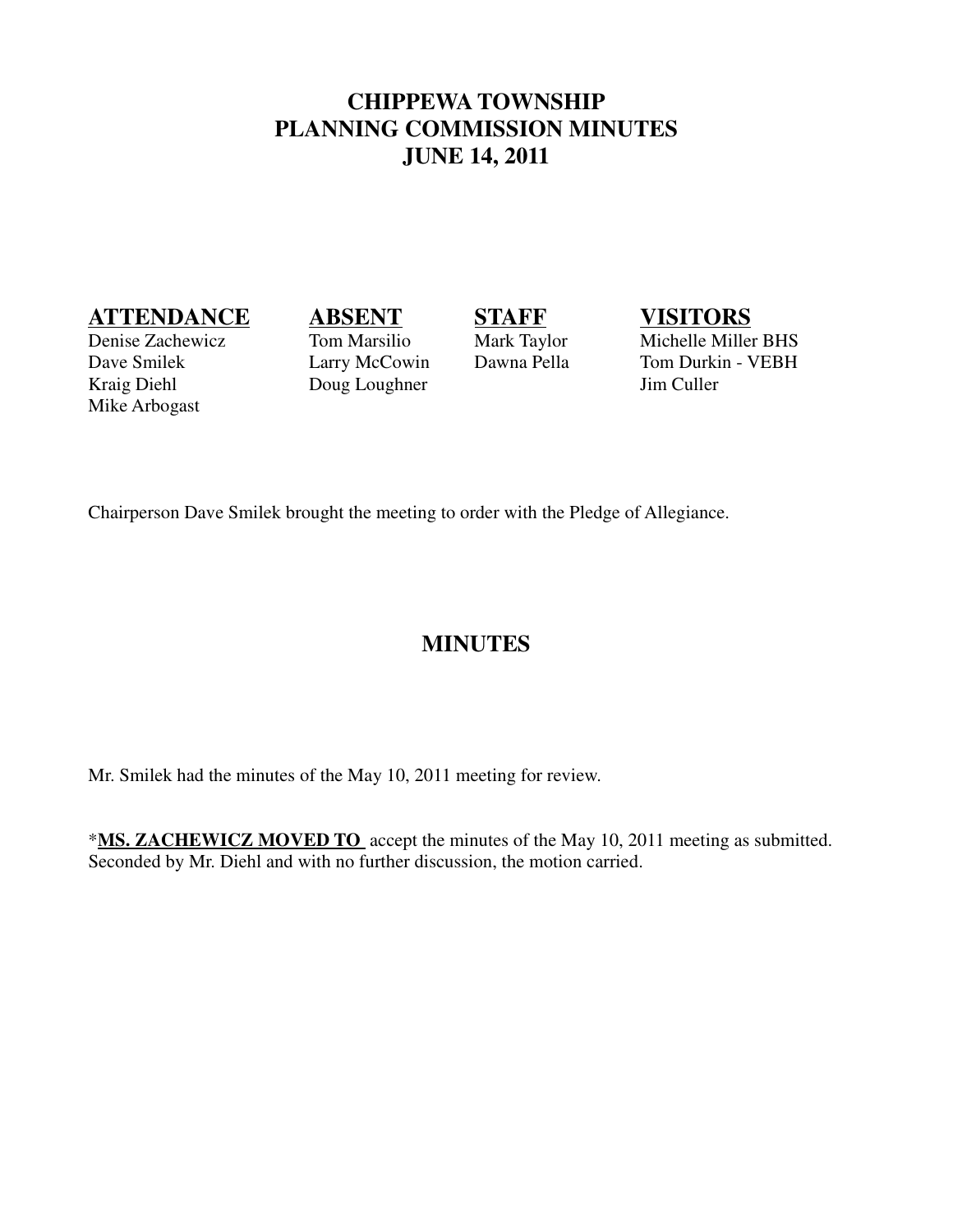## **CHIPPEWA TOWNSHIP PLANNING COMMISSION MINUTES JUNE 14, 2011**

# **ATTENDANCE ABSENT STAFF VISITORS**

Kraig Diehl Doug Loughner Jim Culler Mike Arbogast

Denise Zachewicz Tom Marsilio Mark Taylor Michelle Miller BHS<br>
Dave Smilek Larry McCowin Dawna Pella Tom Durkin - VEBH Dave Smilek Larry McCowin Dawna Pella Tom Durkin - VEBH

Chairperson Dave Smilek brought the meeting to order with the Pledge of Allegiance.

# **MINUTES**

Mr. Smilek had the minutes of the May 10, 2011 meeting for review.

\***MS. ZACHEWICZ MOVED TO** accept the minutes of the May 10, 2011 meeting as submitted. Seconded by Mr. Diehl and with no further discussion, the motion carried.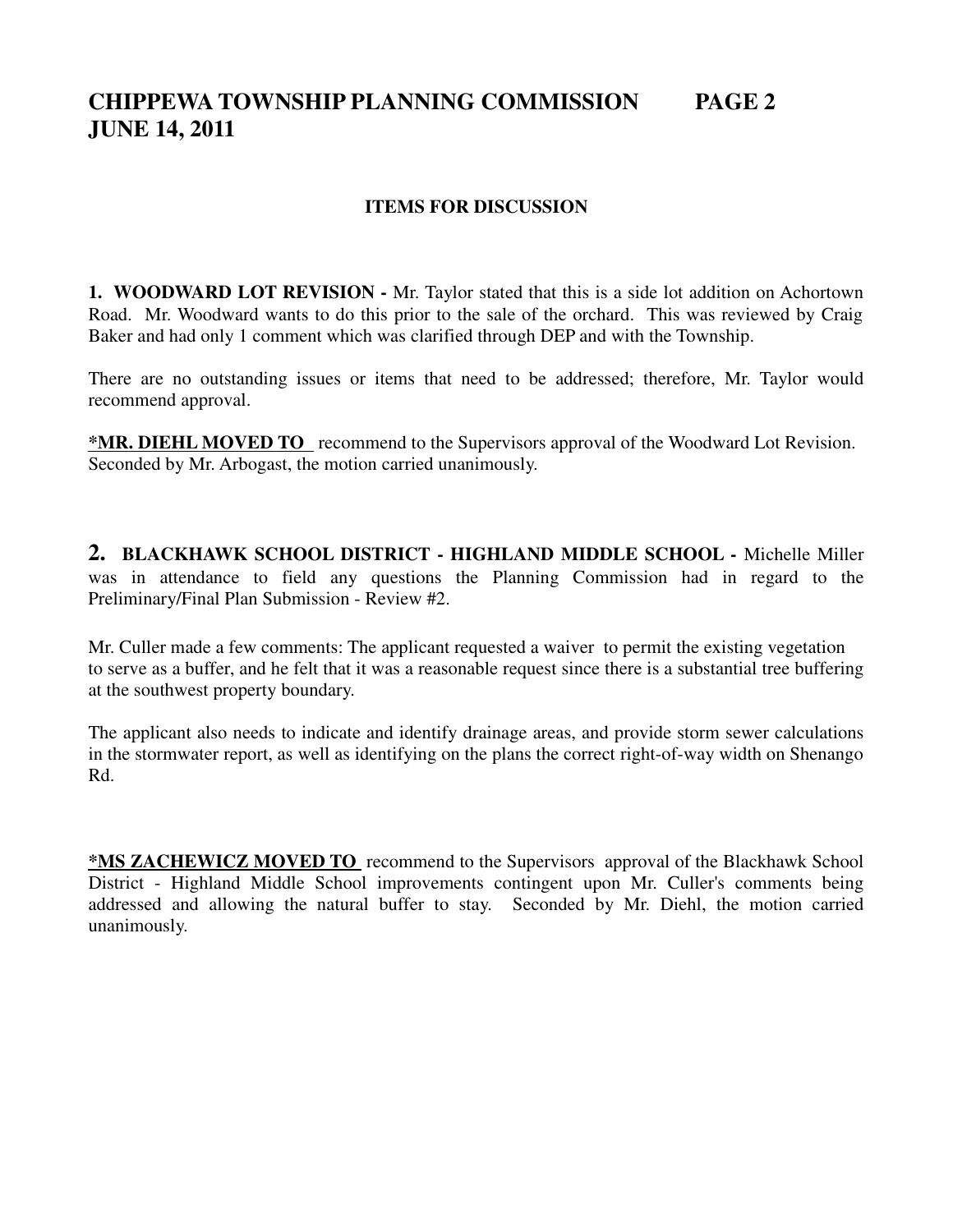# **CHIPPEWA TOWNSHIP PLANNING COMMISSION PAGE 2 JUNE 14, 2011**

## **ITEMS FOR DISCUSSION**

**1. WOODWARD LOT REVISION -** Mr. Taylor stated that this is a side lot addition on Achortown Road. Mr. Woodward wants to do this prior to the sale of the orchard. This was reviewed by Craig Baker and had only 1 comment which was clarified through DEP and with the Township.

There are no outstanding issues or items that need to be addressed; therefore, Mr. Taylor would recommend approval.

**\*MR. DIEHL MOVED TO** recommend to the Supervisors approval of the Woodward Lot Revision. Seconded by Mr. Arbogast, the motion carried unanimously.

**2. BLACKHAWK SCHOOL DISTRICT - HIGHLAND MIDDLE SCHOOL -** Michelle Miller was in attendance to field any questions the Planning Commission had in regard to the Preliminary/Final Plan Submission - Review #2.

Mr. Culler made a few comments: The applicant requested a waiver to permit the existing vegetation to serve as a buffer, and he felt that it was a reasonable request since there is a substantial tree buffering at the southwest property boundary.

The applicant also needs to indicate and identify drainage areas, and provide storm sewer calculations in the stormwater report, as well as identifying on the plans the correct right-of-way width on Shenango Rd.

**\*MS ZACHEWICZ MOVED TO** recommend to the Supervisors approval of the Blackhawk School District - Highland Middle School improvements contingent upon Mr. Culler's comments being addressed and allowing the natural buffer to stay. Seconded by Mr. Diehl, the motion carried unanimously.